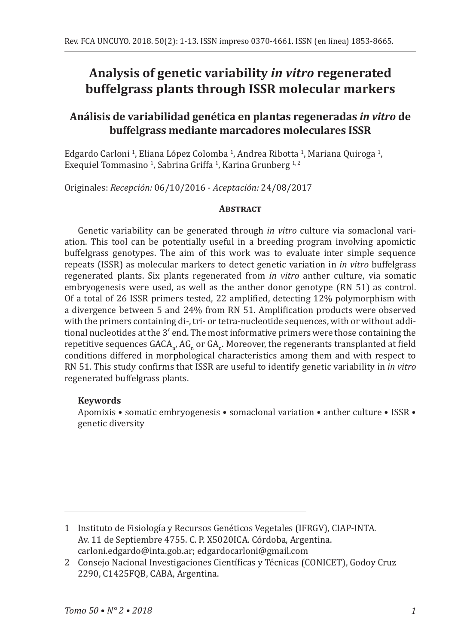# **Analysis of genetic variability** *in vitro* **regenerated buffelgrass plants through ISSR molecular markers**

# **Análisis de variabilidad genética en plantas regeneradas** *in vitro* **de buffelgrass mediante marcadores moleculares ISSR**

Edgardo Carloni <sup>I</sup>, Eliana López Colomba <sup>I</sup>, Andrea Ribotta <sup>I</sup>, Mariana Quiroga <sup>I</sup>, Exequiel Tommasino <sup>1</sup>, Sabrina Griffa <sup>1</sup>, Karina Grunberg <sup>1, 2</sup>

Originales: *Recepción:* 06/10/2016 - *Aceptación:* 24/08/2017

#### **ABSTRACT**

Genetic variability can be generated through *in vitro* culture via somaclonal variation. This tool can be potentially useful in a breeding program involving apomictic buffelgrass genotypes. The aim of this work was to evaluate inter simple sequence repeats (ISSR) as molecular markers to detect genetic variation in *in vitro* buffelgrass regenerated plants. Six plants regenerated from *in vitro* anther culture, via somatic embryogenesis were used, as well as the anther donor genotype (RN 51) as control. Of a total of 26 ISSR primers tested, 22 amplified, detecting 12% polymorphism with a divergence between 5 and 24% from RN 51. Amplification products were observed with the primers containing di-, tri- or tetra-nucleotide sequences, with or without additional nucleotides at the 3′ end. The most informative primers were those containing the repetitive sequences  $\mathsf{GACA}_n$ ,  $\mathsf{AG}_n$  or  $\mathsf{GA}_n$ . Moreover, the regenerants transplanted at field conditions differed in morphological characteristics among them and with respect to RN 51. This study confirms that ISSR are useful to identify genetic variability in *in vitro* regenerated buffelgrass plants.

# **Keywords**

Apomixis • somatic embryogenesis • somaclonal variation • anther culture • ISSR • genetic diversity

<sup>1</sup> Instituto de Fisiología y Recursos Genéticos Vegetales (IFRGV), CIAP-INTA. Av. 11 de Septiembre 4755. C. P. X5020ICA. Córdoba, Argentina. carloni.edgardo@inta.gob.ar; edgardocarloni@gmail.com

<sup>2</sup> Consejo Nacional Investigaciones Científicas y Técnicas (CONICET), Godoy Cruz 2290, C1425FQB, CABA, Argentina.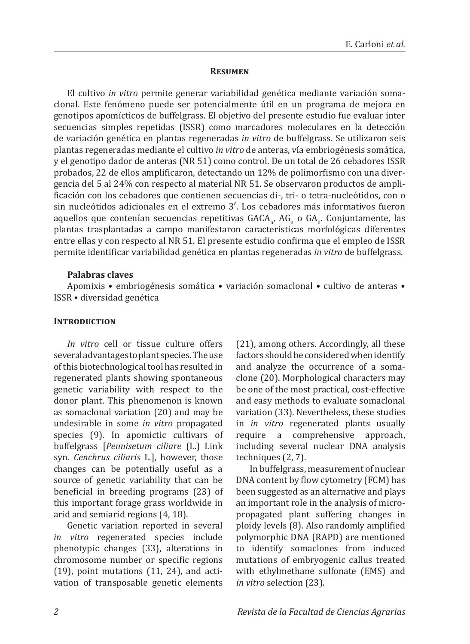#### **Resumen**

El cultivo *in vitro* permite generar variabilidad genética mediante variación somaclonal. Este fenómeno puede ser potencialmente útil en un programa de mejora en genotipos apomícticos de buffelgrass. El objetivo del presente estudio fue evaluar inter secuencias simples repetidas (ISSR) como marcadores moleculares en la detección de variación genética en plantas regeneradas *in vitro* de buffelgrass. Se utilizaron seis plantas regeneradas mediante el cultivo *in vitro* de anteras, vía embriogénesis somática, y el genotipo dador de anteras (NR 51) como control. De un total de 26 cebadores ISSR probados, 22 de ellos amplificaron, detectando un 12% de polimorfismo con una divergencia del 5 al 24% con respecto al material NR 51. Se observaron productos de amplificación con los cebadores que contienen secuencias di-, tri- o tetra-nucleótidos, con o sin nucleótidos adicionales en el extremo 3′. Los cebadores más informativos fueron aquellos que contenian secuencias repetitivas GACA<sub>n</sub>, AG<sub>n</sub> o GA<sub>n</sub>. Conjuntamente, las plantas trasplantadas a campo manifestaron características morfológicas diferentes entre ellas y con respecto al NR 51. El presente estudio confirma que el empleo de ISSR permite identificar variabilidad genética en plantas regeneradas *in vitro* de buffelgrass.

#### **Palabras claves**

Apomixis • embriogénesis somática • variación somaclonal • cultivo de anteras • ISSR • diversidad genética

#### **INTRODUCTION**

*In vitro* cell or tissue culture offers several advantages to plant species. The use of this biotechnological tool has resulted in regenerated plants showing spontaneous genetic variability with respect to the donor plant. This phenomenon is known as somaclonal variation (20) and may be undesirable in some *in vitro* propagated species (9). In apomictic cultivars of buffelgrass [*Pennisetum ciliare* (L.) Link syn. *Cenchrus ciliaris* L.], however, those changes can be potentially useful as a source of genetic variability that can be beneficial in breeding programs (23) of this important forage grass worldwide in arid and semiarid regions (4, 18).

Genetic variation reported in several *in vitro* regenerated species include phenotypic changes (33), alterations in chromosome number or specific regions (19), point mutations (11, 24), and activation of transposable genetic elements (21), among others. Accordingly, all these factors should be considered when identify and analyze the occurrence of a somaclone (20). Morphological characters may be one of the most practical, cost-effective and easy methods to evaluate somaclonal variation (33). Nevertheless, these studies in *in vitro* regenerated plants usually require a comprehensive including several nuclear DNA analysis techniques (2, 7).

In buffelgrass, measurement of nuclear DNA content by flow cytometry (FCM) has been suggested as an alternative and plays an important role in the analysis of micropropagated plant suffering changes in ploidy levels (8). Also randomly amplified polymorphic DNA (RAPD) are mentioned to identify somaclones from induced mutations of embryogenic callus treated with ethylmethane sulfonate (EMS) and *in vitro* selection (23).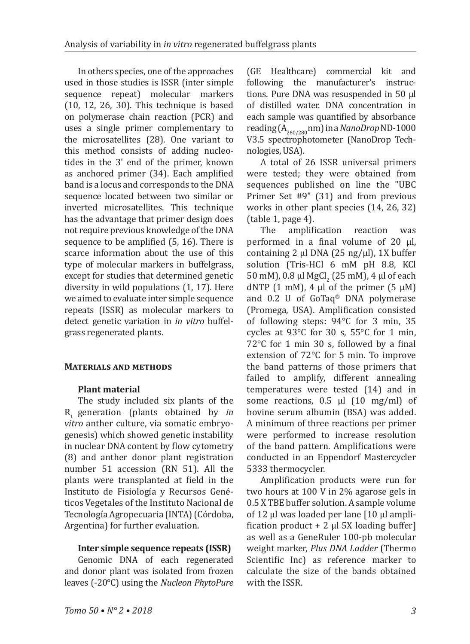In others species, one of the approaches used in those studies is ISSR (inter simple sequence repeat) molecular markers (10, 12, 26, 30). This technique is based on polymerase chain reaction (PCR) and uses a single primer complementary to the microsatellites (28). One variant to this method consists of adding nucleotides in the 3' end of the primer, known as anchored primer (34). Each amplified band is a locus and corresponds to the DNA sequence located between two similar or inverted microsatellites. This technique has the advantage that primer design does not require previous knowledge of the DNA sequence to be amplified (5, 16). There is scarce information about the use of this type of molecular markers in buffelgrass, except for studies that determined genetic diversity in wild populations (1, 17). Here we aimed to evaluate inter simple sequence repeats (ISSR) as molecular markers to detect genetic variation in *in vitro* buffelgrass regenerated plants.

#### **Materials and methods**

# **Plant material**

The study included six plants of the R1 generation (plants obtained by *in vitro* anther culture, via somatic embryogenesis) which showed genetic instability in nuclear DNA content by flow cytometry (8) and anther donor plant registration number 51 accession (RN 51). All the plants were transplanted at field in the Instituto de Fisiología y Recursos Genéticos Vegetales of the Instituto Nacional de Tecnología Agropecuaria (INTA) (Córdoba, Argentina) for further evaluation.

#### **Inter simple sequence repeats (ISSR)**

Genomic DNA of each regenerated and donor plant was isolated from frozen leaves (-20°C) using the *Nucleon PhytoPure*

(GE Healthcare) commercial kit and following the manufacturer's instructions. Pure DNA was resuspended in 50 µl of distilled water. DNA concentration in each sample was quantified by absorbance reading (A260/280 nm) in a *NanoDrop* ND-1000 V3.5 spectrophotometer (NanoDrop Technologies, USA).

A total of 26 ISSR universal primers were tested; they were obtained from sequences published on line the "UBC Primer Set #9" (31) and from previous works in other plant species (14, 26, 32) (table 1, page 4).

amplification reaction was performed in a final volume of 20 µl, containing 2 µl DNA  $(25 \text{ ng}/\text{ul})$ , 1X buffer solution (Tris-HCl 6 mM pH 8.8, KCl 50 mM), 0.8  $\mu$ I MgCl<sub>2</sub> (25 mM), 4  $\mu$ I of each dNTP  $(1 \text{ mM})$ , 4 µ of the primer  $(5 \text{ µ})$ and 0.2 U of GoTaq® DNA polymerase (Promega, USA). Amplification consisted of following steps: 94°C for 3 min, 35 cycles at 93 $\degree$ C for 30 s, 55 $\degree$ C for 1 min, 72°C for 1 min 30 s, followed by a final extension of 72°C for 5 min. To improve the band patterns of those primers that failed to amplify, different annealing temperatures were tested (14) and in some reactions, 0.5 µl (10 mg/ml) of bovine serum albumin (BSA) was added. A minimum of three reactions per primer were performed to increase resolution of the band pattern. Amplifications were conducted in an Eppendorf Mastercycler 5333 thermocycler.

Amplification products were run for two hours at 100 V in 2% agarose gels in 0.5 X TBE buffer solution.Asample volume of 12 µl was loaded per lane [10 µl amplification product  $+ 2 \mu$  5X loading buffer] as well as a GeneRuler 100-pb molecular weight marker, *Plus DNA Ladder* (Thermo Scientific Inc) as reference marker to calculate the size of the bands obtained with the ISSR.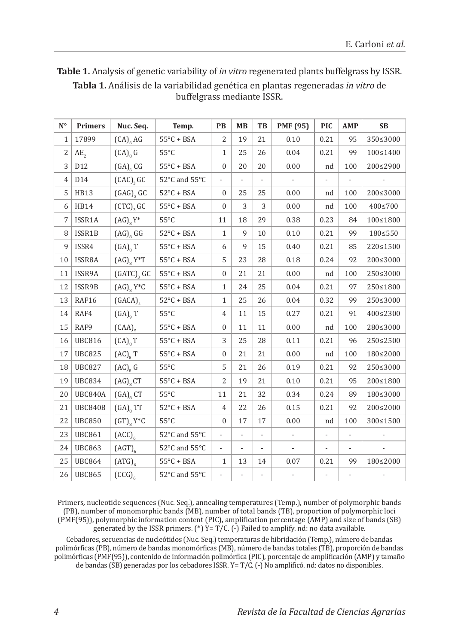| <b>Primers</b> | Nuc. Seq.                              | Temp.                | PB                       | MB                       | TB                       | <b>PMF</b> (95)          | <b>PIC</b>               | <b>AMP</b>               | SB            |
|----------------|----------------------------------------|----------------------|--------------------------|--------------------------|--------------------------|--------------------------|--------------------------|--------------------------|---------------|
| 17899          | (CA) <sub>6</sub> AG                   | $55^{\circ}$ C + BSA | $\overline{2}$           | 19                       | 21                       | 0.10                     | 0.21                     | 95                       | 350≤3000      |
| $AE_{2}$       | $(CA)_{8}$ G                           | $55^{\circ}$ C       | $\mathbf{1}$             | 25                       | 26                       | 0.04                     | 0.21                     | 99                       | 100≤1400      |
| D12            | (GA) <sub>6</sub> CG                   | $55^{\circ}$ C + BSA | $\mathbf{0}$             | 20                       | 20                       | 0.00                     | nd                       | 100                      | 200≤2900      |
| D14            | $(CAC)$ <sub>3</sub> GC                | 52°C and 55°C        | $\overline{\phantom{a}}$ | $\overline{\phantom{a}}$ | $\overline{\phantom{a}}$ | $\overline{\phantom{a}}$ | $\overline{\phantom{0}}$ | $\frac{1}{2}$            |               |
| HB13           | $(GAG)_{3}$ GC                         | $52^{\circ}$ C + BSA | $\boldsymbol{0}$         | 25                       | 25                       | 0.00                     | nd                       | 100                      | 200≤3000      |
| HB14           | $\left(\text{CTC}\right)_{3}\text{GC}$ | $55^{\circ}$ C + BSA | $\mathbf{0}$             | 3                        | 3                        | 0.00                     | nd                       | 100                      | $400 \le 700$ |
| ISSR1A         | $(AG)_{8}Y^*$                          | $55^{\circ}$ C       | 11                       | 18                       | 29                       | 0.38                     | 0.23                     | 84                       | 100≤1800      |
| ISSR1B         | $(AG)_{8}$ GG                          | $52^{\circ}$ C + BSA | $\mathbf{1}$             | 9                        | 10                       | 0.10                     | 0.21                     | 99                       | 180≤550       |
| ISSR4          | $(GA)_{8}T$                            | $55^{\circ}$ C + BSA | 6                        | 9                        | 15                       | 0.40                     | 0.21                     | 85                       | 220≤1500      |
| ISSR8A         | $(AG)_{8}$ Y*T                         | $55^{\circ}$ C + BSA | 5                        | 23                       | 28                       | 0.18                     | 0.24                     | 92                       | 200≤3000      |
| ISSR9A         | $(GATC)$ <sub>3</sub> GC               | $55^{\circ}$ C + BSA | $\mathbf{0}$             | 21                       | 21                       | 0.00                     | nd                       | 100                      | 250≤3000      |
| ISSR9B         | $(AG)_{8}$ Y*C                         | $55^{\circ}$ C + BSA | $\mathbf{1}$             | 24                       | 25                       | 0.04                     | 0.21                     | 97                       | 250≤1800      |
| RAF16          | $(GACA)_4$                             | $52^{\circ}$ C + BSA | $\mathbf{1}$             | 25                       | 26                       | 0.04                     | 0.32                     | 99                       | 250≤3000      |
| RAF4           | $(GA)_{9}T$                            | $55^{\circ}$ C       | $\overline{4}$           | 11                       | 15                       | 0.27                     | 0.21                     | 91                       | 400≤2300      |
| RAF9           | $(CAA)$ <sub>5</sub>                   | $55^{\circ}$ C + BSA | $\boldsymbol{0}$         | 11                       | 11                       | 0.00                     | nd                       | 100                      | 280≤3000      |
| <b>UBC816</b>  | $(CA)_{8}T$                            | $55^{\circ}$ C + BSA | 3                        | 25                       | 28                       | 0.11                     | 0.21                     | 96                       | 250≤2500      |
| <b>UBC825</b>  | $(AC)_{8}T$                            | $55^{\circ}$ C + BSA | $\mathbf{0}$             | 21                       | 21                       | 0.00                     | nd                       | 100                      | 180≤2000      |
| <b>UBC827</b>  | $(AC)_{8}$ G                           | $55^{\circ}$ C       | 5                        | 21                       | 26                       | 0.19                     | 0.21                     | 92                       | 250≤3000      |
| <b>UBC834</b>  | $(AG)_{8}$ CT                          | $55^{\circ}$ C + BSA | $\overline{2}$           | 19                       | 21                       | 0.10                     | 0.21                     | 95                       | 200≤1800      |
| UBC840A        | $(GA)_{8}$ CT                          | $55^{\circ}$ C       | 11                       | 21                       | 32                       | 0.34                     | 0.24                     | 89                       | 180≤3000      |
| UBC840B        | $(GA)_{8}$ TT                          | $52^{\circ}C + BSA$  | $\overline{4}$           | 22                       | 26                       | 0.15                     | 0.21                     | 92                       | 200≤2000      |
| <b>UBC850</b>  | $(GT)_{8}Y^{*}C$                       | $55^{\circ}$ C       | $\mathbf{0}$             | 17                       | 17                       | 0.00                     | nd                       | 100                      | 300≤1500      |
| <b>UBC861</b>  | $(ACC)_{6}$                            | 52°C and 55°C        | -                        | $\qquad \qquad -$        | $\overline{\phantom{a}}$ |                          | $\overline{\phantom{0}}$ | $\overline{\phantom{a}}$ |               |
| <b>UBC863</b>  | $(AGT)_{6}$                            | 52°C and 55°C        | $\overline{\phantom{a}}$ | $\overline{\phantom{a}}$ | $\overline{\phantom{a}}$ |                          | $\overline{\phantom{0}}$ | $\blacksquare$           |               |
| <b>UBC864</b>  | $(ATG)_{6}$                            | $55^{\circ}$ C + BSA | $\mathbf{1}$             | 13                       | 14                       | 0.07                     | 0.21                     | 99                       | 180≤2000      |
| <b>UBC865</b>  | $(CCG)_{6}$                            | 52°C and 55°C        | $\overline{\phantom{0}}$ | $\overline{\phantom{a}}$ |                          |                          | $\overline{\phantom{a}}$ | $\overline{\phantom{a}}$ |               |
|                |                                        |                      |                          |                          |                          |                          |                          |                          |               |

**Table 1.** Analysis of genetic variability of *in vitro* regenerated plants buffelgrass by ISSR. **Tabla 1.** Análisis de la variabilidad genética en plantas regeneradas *in vitro* de buffelgrass mediante ISSR.

Primers*,* nucleotide sequences (Nuc. Seq.), annealing temperatures (Temp.), number of polymorphic bands (PB), number of monomorphic bands (MB), number of total bands (TB), proportion of polymorphic loci (PMF(95)), polymorphic information content (PIC), amplification percentage (AMP) and size of bands (SB) generated by the ISSR primers.  $(*)$  Y= T/C.  $(-)$  Failed to amplify. nd: no data available.

Cebadores, secuencias de nucleótidos (Nuc. Seq.) temperaturas de hibridación (Temp.), número de bandas polimórficas (PB), número de bandas monomórficas (MB), número de bandas totales (TB), proporción de bandas polimórficas (PMF(95)), contenido de información polimórfica (PIC), porcentaje de amplificación (AMP) y tamaño de bandas (SB) generadas por los cebadores ISSR. Y= T/C.(-) No amplificó. nd: datos no disponibles.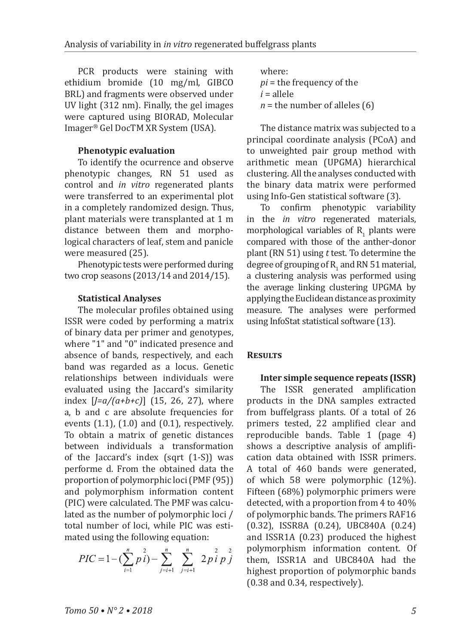PCR products were staining with ethidium bromide (10 mg/ml, GIBCO BRL) and fragments were observed under UV light (312 nm). Finally, the gel images were captured using BIORAD, Molecular Imager® Gel DocTM XR System (USA).

#### **Phenotypic evaluation**

To identify the ocurrence and observe phenotypic changes, RN 51 used as control and *in vitro* regenerated plants were transferred to an experimental plot in a completely randomized design. Thus, plant materials were transplanted at 1 m distance between them and morphological characters of leaf, stem and panicle were measured (25).

Phenotypic tests were performed during two crop seasons (2013/14 and 2014/15).

#### **Statistical Analyses**

The molecular profiles obtained using ISSR were coded by performing a matrix of binary data per primer and genotypes, where "1" and "0" indicated presence and absence of bands, respectively, and each band was regarded as a locus. Genetic relationships between individuals were evaluated using the Jaccard's similarity index [*J=a/(a+b+c)*] (15, 26, 27), where a, b and c are absolute frequencies for events  $(1.1)$ ,  $(1.0)$  and  $(0.1)$ , respectively. To obtain a matrix of genetic distances between individuals a transformation of the Jaccard's index (sqrt (1-S)) was performe d. From the obtained data the proportion of polymorphic loci (PMF (95)) and polymorphism information content (PIC) were calculated. The PMF was calculated as the number of polymorphic loci / total number of loci, while PIC was estimated using the following equation:

$$
PIC = 1 - \left(\sum_{i=1}^{n} p_i^2\right) - \sum_{j=i+1}^{n} \sum_{j=i+1}^{n} 2p_i^2 p_j^2
$$

where: *pi* = the frequency of the  $i =$ allele  $n =$  the number of alleles (6)

The distance matrix was subjected to a principal coordinate analysis (PCoA) and to unweighted pair group method with arithmetic mean (UPGMA) hierarchical clustering. All the analyses conducted with the binary data matrix were performed using Info-Gen statistical software (3).<br>To confirm phenotypic variab

confirm phenotypic variability in the *in vitro* regenerated materials, morphological variables of  $R_1$  plants were compared with those of the anther-donor plant (RN 51) using *t* test. To determine the degree of grouping of  $R_1$  and RN 51 material, a clustering analysis was performed using the average linking clustering UPGMA by applying the Euclidean distance as proximity measure. The analyses were performed using InfoStat statistical software (13).

# **Results**

# **Inter simple sequence repeats (ISSR)**

The ISSR generated amplification products in the DNA samples extracted from buffelgrass plants. Of a total of 26 primers tested, 22 amplified clear and reproducible bands. Table 1 (page 4) shows a descriptive analysis of amplification data obtained with ISSR primers. A total of 460 bands were generated, of which 58 were polymorphic (12%). Fifteen (68%) polymorphic primers were detected, with a proportion from 4 to 40% of polymorphic bands. The primers RAF16 (0.32), ISSR8A (0.24), UBC840A (0.24) and ISSR1A (0.23) produced the highest polymorphism information content. Of them, ISSR1A and UBC840A had the highest proportion of polymorphic bands (0.38 and 0.34, respectively).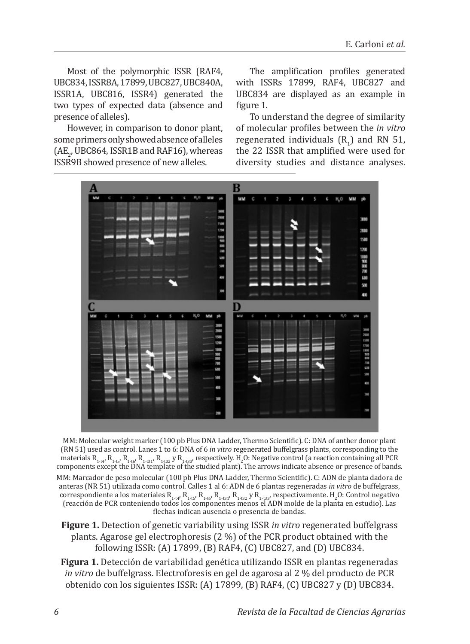Most of the polymorphic ISSR (RAF4, UBC834, ISSR8A, 17899, UBC827, UBC840A, ISSR1A, UBC816, ISSR4) generated the two types of expected data (absence and presence of alleles).

However, in comparison to donor plant, some primers only showed absence of alleles  $[AE_{2}$ , UBC864, ISSR1B and RAF16), whereas ISSR9B showed presence of new alleles.

O

B 200 1500  $\overline{131}$ 温度 m ø Œ D  $200$ 

The amplification profiles generated with ISSRs 17899, RAF4, UBC827 and UBC834 are displayed as an example in figure 1.

To understand the degree of similarity of molecular profiles between the *in vitro* regenerated individuals  $(R_1)$  and RN 51, the 22 ISSR that amplified were used for diversity studies and distance analyses.

MM: Molecular weight marker (100 pb Plus DNA Ladder, Thermo Scientific). C: DNA of anther donor plant (RN 51) used as control. Lanes 1 to 6: DNA of 6 *in vitro* regenerated buffelgrass plants, corresponding to the materials  $R_{1-t4}$ ,  $R_{1-t5}$ ,  $R_{1-t5}$ ,  $R_{1-t31}$ ,  $R_{1-t32}$ ,  $R_{1-t33}$ , respectively. H<sub>2</sub>O: Negative control (a reaction containing all PCR components except the DNA template of the studied plant). The arrows indicate absence or presence of bands. MM: Marcador de peso molecular (100 pb Plus DNA Ladder, Thermo Scientific). C: ADN de planta dadora de anteras (NR 51) utilizada como control. Calles 1 al 6: ADN de 6 plantas regeneradas *in vitro* de buffelgrass, correspondiente a los materiales  $R_{1\text{-}t4'}$ ,  $R_{1\text{-}t5'}$ ,  $R_{1\text{-}t31}$ ,  $R_{1\text{-}t32}$ ,  $y$ ,  $R_{1\text{-}t33}$ , respectivamente. H<sub>2</sub>O: Control negativo (reacción de PCR conteniendo todos los componentes menos el ADN molde de la planta en estudio). Las flechas indican ausencia o presencia de bandas.

**Figure 1.** Detection of genetic variability using ISSR *in vitro* regenerated buffelgrass plants. Agarose gel electrophoresis (2 %) of the PCR product obtained with the following ISSR: (A) 17899, (B) RAF4, (C) UBC827, and (D) UBC834.

**Figura 1.** Detección de variabilidad genética utilizando ISSR en plantas regeneradas *in vitro* de buffelgrass. Electroforesis en gel de agarosa al 2 % del producto de PCR obtenido con los siguientes ISSR: (A) 17899, (B) RAF4, (C) UBC827 y (D) UBC834.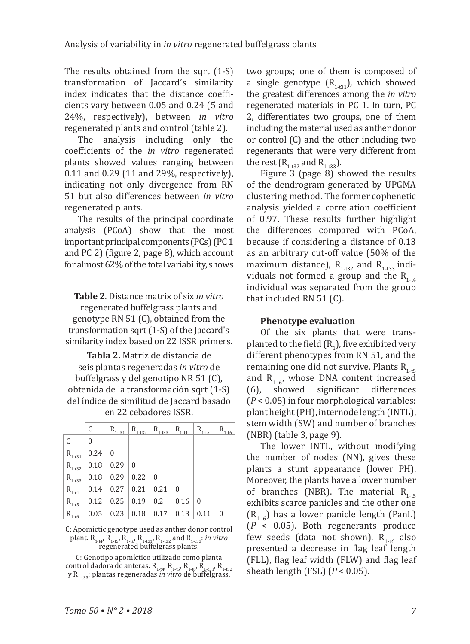The results obtained from the sqrt (1-S) transformation of Jaccard's similarity index indicates that the distance coefficients vary between 0.05 and 0.24 (5 and 24%, respectively), between *in vitro* regenerated plants and control (table 2).

The analysis including only the coefficients of the *in vitro* regenerated plants showed values ranging between 0.11 and 0.29 (11 and 29%, respectively), indicating not only divergence from RN 51 but also differences between *in vitro* regenerated plants.

The results of the principal coordinate analysis (PCoA) show that the most important principal components (PCs) (PC1 and PC 2) (figure 2, page 8), which account for almost 62% of the total variability, shows

**Table 2**. Distance matrix of six *in vitro* regenerated buffelgrass plants and genotype RN 51 (C), obtained from the transformation sqrt (1-S) of the Jaccard's similarity index based on 22 ISSR primers.

**Tabla 2.** Matriz de distancia de seis plantas regeneradas *in vitro* de buffelgrass y del genotipo NR 51 (C), obtenida de la transformación sqrt (1-S) del índice de similitud de Jaccard basado en 22 cebadores ISSR.

|            | C                | $R_{1-t31}$                                 | $R_{1-t32}$ | $R_{1-t33}$ $R_{1-t4}$ | $R_{1-t5}$     | $R_{1:\underline{t}6}$ |
|------------|------------------|---------------------------------------------|-------------|------------------------|----------------|------------------------|
| C          | $\theta$         |                                             |             |                        |                |                        |
|            | $R_{1-t31}$ 0.24 | $\vert 0$                                   |             |                        |                |                        |
|            |                  | $R_{1-t32}$ 0.18 0.29 0                     |             |                        |                |                        |
|            |                  | $R_{1+33}$   0.18   0.29   0.22   0         |             |                        |                |                        |
|            |                  | $R_{1+4}$   0.14   0.27   0.21   0.21   0   |             |                        |                |                        |
|            |                  | $R_{1+5}$   0.12   0.25   0.19   0.2   0.16 |             |                        | $\overline{0}$ |                        |
| $R_{1-t6}$ |                  | $0.05$   0.23   0.18   0.17   0.13          |             |                        | 0.11           | $\theta$               |

C: Apomictic genotype used as anther donor control plant.  $\text{R}_{_{1\text{-}t4'}}$   $\text{R}_{_{1\text{-}t5'}}$   $\text{R}_{_{1\text{-}t31'}}$   $\text{R}_{_{1\text{-}t32}}$  and  $\text{R}_{_{1\text{-}t33}}$  :  $in\,vitro$ regenerated buffelgrass plants.

C: Genotipo apomíctico utilizado como planta control dadora de anteras.  $R_{1-t4}$ ,  $R_{1-t5}$ ,  $R_{1-t6}$ ,  $R_{1-t31}$ ,  $R_{1-t32}$ y R1-t33: plantas regeneradas *in vitro* de buffelgrass.

two groups; one of them is composed of a single genotype  $(R_{1,t31})$ , which showed the greatest differences among the *in vitro* regenerated materials in PC 1. In turn, PC 2, differentiates two groups, one of them including the material used as anther donor or control (C) and the other including two regenerants that were very different from the rest  $(R_{1-t32}$  and  $R_{1-t33}$ ).

Figure  $3$  (page  $8$ ) showed the results of the dendrogram generated by UPGMA clustering method. The former cophenetic analysis yielded a correlation coefficient of 0.97. These results further highlight the differences compared with PCoA, because if considering a distance of 0.13 as an arbitrary cut-off value (50% of the maximum distance),  $R_{1-t32}$  and  $R_{1-t33}$  individuals not formed a group and the  $R_{1-t4}$ individual was separated from the group that included RN 51 (C).

# **Phenotype evaluation**

Of the six plants that were transplanted to the field  $(R_1)$ , five exhibited very different phenotypes from RN 51, and the remaining one did not survive. Plants  $R_{1.55}$ and  $R_{1-t6}$ , whose DNA content increased<br>(6), showed significant differences significant differences (*P* < 0.05) in four morphological variables: plant height(PH), internode length (INTL), stem width (SW) and number of branches (NBR) (table 3, page 9).

The lower INTL, without modifying the number of nodes (NN), gives these plants a stunt appearance (lower PH). Moreover, the plants have a lower number of branches (NBR). The material  $R_{1.55}$ exhibits scarce panicles and the other one  $(R_{1-t6})$  has a lower panicle length (PanL) (*P* < 0.05). Both regenerants produce few seeds (data not shown).  $R_{1,t6}$  also presented a decrease in flag leaf length (FLL), flag leaf width (FLW) and flag leaf sheath length (FSL) (*P* < 0.05).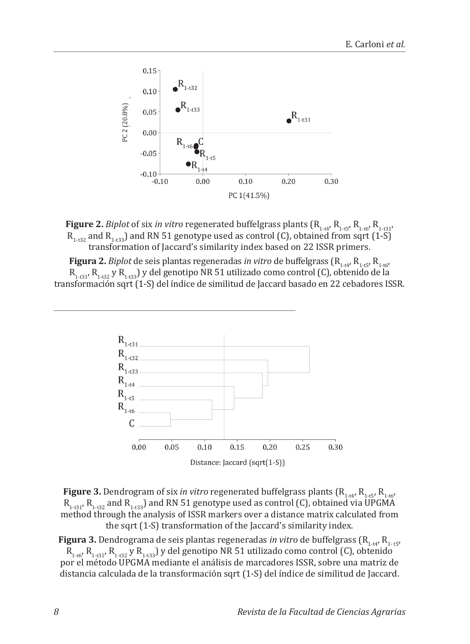

**Figure 2.** *Biplot* of six *in vitro* regenerated buffelgrass plants  $(R_{1-t4}, R_{1-t5}, R_{1-t6}, R_{1-t31}, R_{1-t4})$  $R_{1.132}$  and  $R_{1.133}$  and RN 51 genotype used as control (C), obtained from sqrt (1-S) transformation of Jaccard's similarity index based on 22 ISSR primers.

**Figura 2.** *Biplot* de seis plantas regeneradas *in vitro* de buffelgrass (R<sub>1-t4</sub>, R<sub>1-t5</sub>, R<sub>1-t6</sub>,  $R_{1-1,1}$ ,  $R_{1-1,1}$ ,  $N_{1-1,1}$  y del genotipo NR 51 utilizado como control (C), obtenido de la transformación sqrt (1-S) del índice de similitud de Jaccard basado en 22 cebadores ISSR*.*



**Figure 3.** Dendrogram of six *in vitro* regenerated buffelgrass plants (R<sub>1-t4</sub>, R<sub>1-t5</sub>, R<sub>1-t6</sub>,  $R_{1-t31}$ ,  $R_{1-t32}$  and  $R_{1-t33}$ ) and RN 51 genotype used as control (C), obtained via UPGMA method through the analysis of ISSR markers over a distance matrix calculated from the sqrt (1-S) transformation of the Jaccard's similarity index.

**Figura 3.** Dendrograma de seis plantas regeneradas *in vitro* de buffelgrass (R<sub>1-t4</sub>, R<sub>1-t5</sub>,  $R_{1-t6}$ ,  $R_{1-t31}$ ,  $R_{1-t32}$  y  $R_{1-t33}$ ) y del genotipo NR 51 utilizado como control (C), obtenido por el método UPGMA mediante el análisis de marcadores ISSR, sobre una matriz de distancia calculada de la transformación sqrt (1-S) del índice de similitud de Jaccard.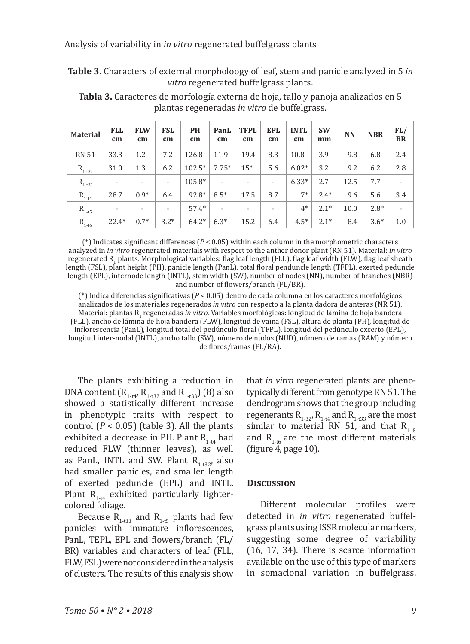**Table 3.** Characters of external morpholoogy of leaf, stem and panicle analyzed in 5 *in vitro* regenerated buffelgrass plants.

| <b>Material</b>      | <b>FLL</b><br>cm         | <b>FLW</b><br>cm | <b>FSL</b><br>cm         | PH<br>cm | PanL<br>cm               | <b>TFPL</b><br>cm        | <b>EPL</b><br>cm         | <b>INTL</b><br>cm | <b>SW</b><br>mm | <b>NN</b> | <b>NBR</b> | FL/<br><b>BR</b> |
|----------------------|--------------------------|------------------|--------------------------|----------|--------------------------|--------------------------|--------------------------|-------------------|-----------------|-----------|------------|------------------|
| <b>RN 51</b>         | 33.3                     | 1.2              | 7.2                      | 126.8    | 11.9                     | 19.4                     | 8.3                      | 10.8              | 3.9             | 9.8       | 6.8        | 2.4              |
| $R_{1-t32}$          | 31.0                     | 1.3              | 6.2                      | $102.5*$ | $7.75*$                  | $15*$                    | 5.6                      | $6.02*$           | 3.2             | 9.2       | 6.2        | 2.8              |
| $R$ <sub>1-t33</sub> | $\overline{\phantom{a}}$ |                  | $\overline{\phantom{a}}$ | 105.8*   | $\overline{\phantom{a}}$ | $\overline{\phantom{a}}$ | $\overline{\phantom{a}}$ | $6.33*$           | 2.7             | 12.5      | 7.7        | -                |
| $R_{1-t4}$           | 28.7                     | $0.9*$           | 6.4                      | 92.8*    | $8.5*$                   | 17.5                     | 8.7                      | $7*$              | $2.4*$          | 9.6       | 5.6        | 3.4              |
| $R_{1-t5}$           | $\overline{\phantom{a}}$ |                  | $\overline{\phantom{a}}$ | $57.4*$  | $\overline{\phantom{a}}$ |                          | $\overline{\phantom{a}}$ | $4*$              | $2.1*$          | 10.0      | $2.8*$     |                  |
| $R_{1-t6}$           | $22.4*$                  | $0.7*$           | $3.2*$                   | $64.2*$  | $6.3*$                   | 15.2                     | 6.4                      | $4.5*$            | $2.1*$          | 8.4       | $3.6*$     | 1.0              |

**Tabla 3.** Caracteres de morfología externa de hoja, tallo y panoja analizados en 5 plantas regeneradas *in vitro* de buffelgrass.

(\*) Indicates significant differences (*P* < 0.05) within each column in the morphometric characters analyzed in *in vitro* regenerated materials with respect to the anther donor plant (RN 51). Material: *in vitro* regenerated R, plants. Morphological variables: flag leaf length (FLL), flag leaf width (FLW), flag leaf sheath length (FSL), plant height (PH), panicle length (PanL), total floral penduncle length (TFPL), exerted peduncle length (EPL), internode length (INTL), stem width (SW), number of nodes (NN), number of branches (NBR) and number of flowers/branch (FL/BR).

(\*) Indica diferencias significativas (*P* < 0,05) dentro de cada columna en los caracteres morfológicos analizados de los materiales regenerados *in vitro* con respecto a la planta dadora de anteras (NR 51). Material: plantas R<sub>1</sub> regeneradas *in vitro*. Variables morfológicas: longitud de lámina de hoja bandera<br>Lidades (FLL), ancho de lámina de hoja bandera (FLW), longitud de vaina (FSL), altura de planta (PH), longitud de inflorescencia (PanL), longitud total del pedúnculo floral (TFPL), longitud del pedúnculo excerto (EPL), longitud inter-nodal (INTL), ancho tallo (SW), número de nudos (NUD), número de ramas (RAM) y número de flores/ramas (FL/RA).

The plants exhibiting a reduction in DNA content  $(R_{1-t4}, R_{1-t32})$  and  $R_{1-t33})$  (8) also showed a statistically different increase in phenotypic traits with respect to control  $(P < 0.05)$  (table 3). All the plants exhibited a decrease in PH. Plant  $R_{1-t4}$  had reduced FLW (thinner leaves), as well as PanL, INTL and SW. Plant  $R_{1-t32}$ , also had smaller panicles, and smaller length of exerted peduncle (EPL) and INTL. Plant  $R_{1-t4}$  exhibited particularly lightercolored foliage.

Because  $R_{1-t33}$  and  $R_{1-t5}$  plants had few panicles with immature inflorescences. PanL, TEPL, EPL and flowers/branch (FL/ BR) variables and characters of leaf (FLL, FLW,FSL)werenotconsideredintheanalysis of clusters. The results of this analysis show

that *in vitro* regenerated plants are phenotypically different from genotype RN 51. The dendrogram shows that the group including regenerants  $R_{1-32}$ ,  $R_{1-44}$  and  $R_{1-433}$  are the most similar to material RN 51, and that  $R_{1-t5}$ and  $R_{1-t6}$  are the most different materials (figure 4, page 10).

#### **Discussion**

Different molecular profiles were detected in *in vitro* regenerated buffelgrass plants using ISSR molecular markers, suggesting some degree of variability (16, 17, 34). There is scarce information available on the use of this type of markers in somaclonal variation in buffelgrass.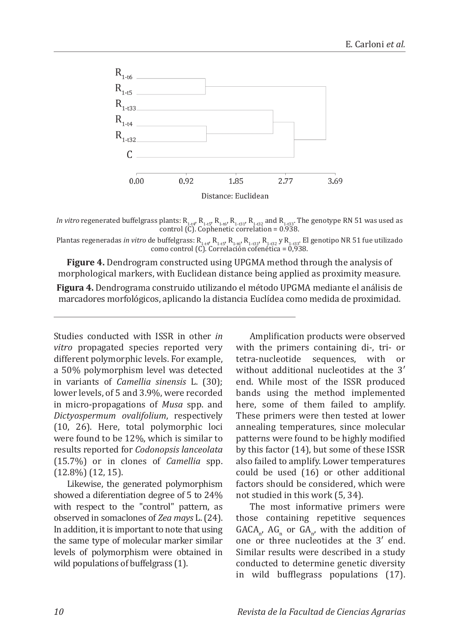

*In vitro* regenerated buffelgrass plants:  $R_{1+4}$ ,  $R_{1+5}$ ,  $R_{1+6}$ ,  $R_{1+31}$ ,  $R_{1+32}$  and  $R_{1+33}$ . The genotype RN 51 was used as control (C). Cophenetic correlation = 0.938.

Plantas regeneradas *in vitro* de buffelgrass: R<sub>1-t4</sub>, R<sub>1-t5</sub>, R<sub>1-t5</sub>, R<sub>1-t31</sub>, R<sub>1-t32</sub> y R<sub>1-t33</sub>. El genotipo NR 51 fue utilizado como control (C). Correlación cofenética = 0,938.

**Figure 4.** Dendrogram constructed using UPGMA method through the analysis of morphological markers, with Euclidean distance being applied as proximity measure.

**Figura 4.** Dendrograma construido utilizando el método UPGMA mediante el análisis de marcadores morfológicos, aplicando la distancia Euclídea como medida de proximidad.

Studies conducted with ISSR in other *in vitro* propagated species reported very different polymorphic levels. For example, a 50% polymorphism level was detected in variants of *Camellia sinensis* L. (30); lower levels, of 5 and 3.9%, were recorded in micro-propagations of *Musa* spp. and *Dictyospermum ovalifolium*, respectively (10, 26). Here, total polymorphic loci were found to be 12%, which is similar to results reported for *Codonopsis lanceolata* (15.7%) or in clones of *Camellia* spp. (12.8%) (12, 15).

Likewise, the generated polymorphism showed a diferentiation degree of 5 to 24% with respect to the "control" pattern, as observed in somaclones of *Zea mays* L. (24). In addition, it is important to note that using the same type of molecular marker similar levels of polymorphism were obtained in wild populations of buffelgrass (1).

Amplification products were observed with the primers containing di-, tri- or tetra-nucleotide sequences, with or without additional nucleotides at the 3′ end. While most of the ISSR produced bands using the method implemented here, some of them failed to amplify. These primers were then tested at lower annealing temperatures, since molecular patterns were found to be highly modified by this factor (14), but some of these ISSR also failed to amplify. Lower temperatures could be used (16) or other additional factors should be considered, which were not studied in this work (5, 34).

The most informative primers were those containing repetitive sequences  $GACA_{n'}$ ,  $AG_n$  or  $GA_{n'}$  with the addition of one or three nucleotides at the 3′ end. Similar results were described in a study conducted to determine genetic diversity in wild bufflegrass populations (17).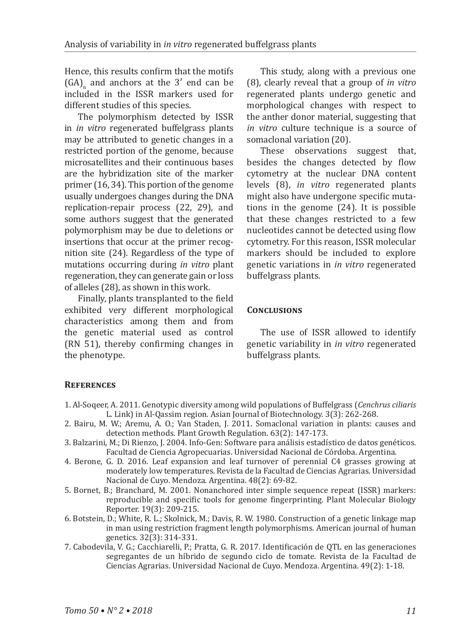Hence, this results confirm that the motifs  $(GA)$  and anchors at the 3' end can be included in the ISSR markers used for different studies of this species.

The polymorphism detected by ISSR in *in vitro* regenerated buffelgrass plants may be attributed to genetic changes in a restricted portion of the genome, because microsatellites and their continuous bases are the hybridization site of the marker primer (16, 34). This portion of the genome usually undergoes changes during the DNA replication-repair process (22, 29), and some authors suggest that the generated polymorphism may be due to deletions or insertions that occur at the primer recognition site (24). Regardless of the type of mutations occurring during *in vitro* plant regeneration, they can generate gain or loss of alleles (28), as shown in this work.

Finally, plants transplanted to the field exhibited very different morphological characteristics among them and from the genetic material used as control (RN 51), thereby confirming changes in the phenotype.

This study, along with a previous one (8), clearly reveal that a group of *in vitro* regenerated plants undergo genetic and morphological changes with respect to the anther donor material, suggesting that *in vitro* culture technique is a source of somaclonal variation (20).

These observations suggest that, besides the changes detected by flow cytometry at the nuclear DNA content levels (8), *in vitro* regenerated plants might also have undergone specific mutations in the genome (24). It is possible that these changes restricted to a few nucleotides cannot be detected using flow cytometry. For this reason, ISSR molecular markers should be included to explore genetic variations in *in vitro* regenerated buffelgrass plants.

#### **Conclusions**

The use of ISSR allowed to identify genetic variability in *in vitro* regenerated buffelgrass plants.

#### **References**

- 1. Al-Soqeer, A. 2011. Genotypic diversity among wild populations of Buffelgrass (*Cenchrus ciliaris* L. Link) in Al-Qassim region. Asian Journal of Biotechnology. 3(3): 262-268.
- 2. Bairu, M. W.; Aremu, A. O.; Van Staden, J. 2011. Somaclonal variation in plants: causes and detection methods. Plant Growth Regulation. 63(2): 147-173.
- 3. Balzarini, M.; Di Rienzo, J. 2004. Info-Gen: Software para análisis estadístico de datos genéticos. Facultad de Ciencia Agropecuarias. Universidad Nacional de Córdoba. Argentina.
- 4. Berone, G. D. 2016. Leaf expansion and leaf turnover of perennial C4 grasses growing at moderately low temperatures. Revista de la Facultad de Ciencias Agrarias. Universidad Nacional de Cuyo. Mendoza. Argentina. 48(2): 69-82.
- 5. Bornet, B.; Branchard, M. 2001. Nonanchored inter simple sequence repeat (ISSR) markers: reproducible and specific tools for genome fingerprinting. Plant Molecular Biology Reporter. 19(3): 209-215.
- 6. Botstein, D.; White, R. L.; Skolnick, M.; Davis, R. W. 1980. Construction of a genetic linkage map in man using restriction fragment length polymorphisms. American journal of human genetics. 32(3): 314-331.
- 7. Cabodevila, V. G.; Cacchiarelli, P.; Pratta, G. R. 2017. Identificación de QTL en las generaciones segregantes de un híbrido de segundo ciclo de tomate. Revista de la Facultad de Ciencias Agrarias. Universidad Nacional de Cuyo. Mendoza. Argentina. 49(2): 1-18.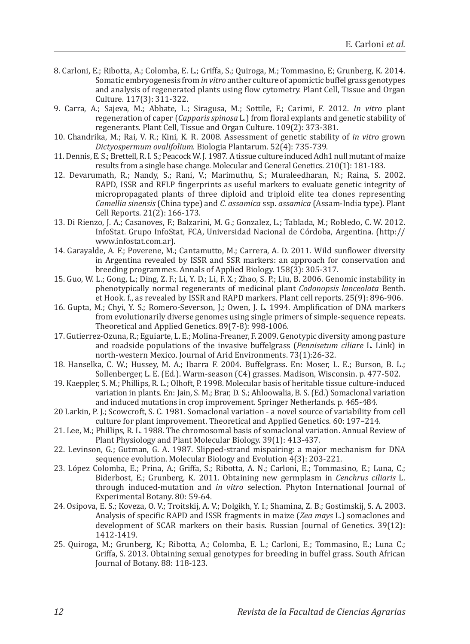- 8. Carloni, E.; Ribotta, A.; Colomba, E. L.; Griffa, S.; Quiroga, M.; Tommasino, E; Grunberg, K. 2014. Somatic embryogenesis from *in vitro* anther culture of apomictic buffel grass genotypes and analysis of regenerated plants using flow cytometry. Plant Cell, Tissue and Organ Culture. 117(3): 311-322.
- 9. Carra, A.; Sajeva, M.; Abbate, L.; Siragusa, M.; Sottile, F.; Carimi, F. 2012. *In vitro* plant regeneration of caper (*Capparis spinosa* L.) from floral explants and genetic stability of regenerants. Plant Cell, Tissue and Organ Culture. 109(2): 373-381.
- 10. Chandrika, M.; Rai, V. R.; Kini, K. R. 2008. Assessment of genetic stability of *in vitro* grown *Dictyospermum ovalifolium*. Biologia Plantarum. 52(4): 735-739.
- 11.Dennis, E. S.; Brettell, R.I. S.; Peacock W. J. 1987. A tissue culture induced Adh1 null mutant of maize results from a single base change. Molecular and General Genetics. 210(1): 181-183.
- 12. Devarumath, R.; Nandy, S.; Rani, V.; Marimuthu, S.; Muraleedharan, N.; Raina, S. 2002. RAPD, ISSR and RFLP fingerprints as useful markers to evaluate genetic integrity of micropropagated plants of three diploid and triploid elite tea clones representing *Camellia sinensis* (China type) and *C. assamica* ssp. *assamica* (Assam-India type). Plant Cell Reports. 21(2): 166-173.
- 13. Di Rienzo, J. A.; Casanoves, F.; Balzarini, M. G.; Gonzalez, L.; Tablada, M.; Robledo, C. W. 2012. InfoStat. Grupo InfoStat, FCA, Universidad Nacional de Córdoba, Argentina. (http:// www.infostat.com.ar).
- 14. Garayalde, A. F.; Poverene, M.; Cantamutto, M.; Carrera, A. D. 2011. Wild sunflower diversity in Argentina revealed by ISSR and SSR markers: an approach for conservation and breeding programmes. Annals of Applied Biology. 158(3): 305-317.
- 15. Guo, W. L.; Gong, L.; Ding, Z. F.; Li, Y. D.; Li, F. X.; Zhao, S. P.; Liu, B. 2006. Genomic instability in phenotypically normal regenerants of medicinal plant *Codonopsis lanceolata* Benth. et Hook. f., as revealed by ISSR and RAPD markers. Plant cell reports. 25(9): 896-906.
- 16. Gupta, M.; Chyi, Y. S.; Romero-Severson, J.; Owen, J. L. 1994. Amplification of DNA markers from evolutionarily diverse genomes using single primers of simple-sequence repeats. Theoretical and Applied Genetics. 89(7-8): 998-1006.
- 17. Gutierrez-Ozuna, R.; Eguiarte, L. E.; Molina-Freaner, F. 2009. Genotypic diversity among pasture and roadside populations of the invasive buffelgrass (*Pennisetum ciliare* L. Link) in north-western Mexico. Journal of Arid Environments. 73(1):26-32.
- 18. Hanselka, C. W.; Hussey, M. A.; Ibarra F. 2004. Buffelgrass. En: Moser, L. E.; Burson, B. L.; Sollenberger, L. E. (Ed.). Warm-season (C4) grasses. Madison, Wisconsin. p. 477-502.
- 19. Kaeppler, S. M.; Phillips, R. L.; Olhoft, P. 1998. Molecular basis of heritable tissue culture-induced variation in plants. En: Jain, S. M.; Brar, D. S.; Ahloowalia, B. S. (Ed.) Somaclonal variation and induced mutations in crop improvement. Springer Netherlands. p. 465-484.
- 20 Larkin, P. J.; Scowcroft, S. C. 1981. Somaclonal variation a novel source of variability from cell culture for plant improvement. Theoretical and Applied Genetics. 60: 197–214.
- 21. Lee, M.; Phillips, R. L. 1988. The chromosomal basis of somaclonal variation. Annual Review of Plant Physiology and Plant Molecular Biology. 39(1): 413-437.
- 22. Levinson, G.; Gutman, G. A. 1987. Slipped-strand mispairing: a major mechanism for DNA sequence evolution. Molecular Biology and Evolution 4(3): 203-221.
- 23. López Colomba, E.; Prina, A.; Griffa, S.; Ribotta, A. N.; Carloni, E.; Tommasino, E.; Luna, C.; Biderbost, E.; Grunberg, K. 2011. Obtaining new germplasm in *Cenchrus ciliaris* L. through induced-mutation and *in vitro* selection. Phyton International Journal of Experimental Botany. 80: 59-64.
- 24. Osipova, E. S.; Koveza, O. V.; Troitskij, A. V.; Dolgikh, Y. I.; Shamina, Z. B.; Gostimskij, S. A. 2003. Analysis of specific RAPD and ISSR fragments in maize (*Zea mays* L.) somaclones and development of SCAR markers on their basis. Russian Journal of Genetics. 39(12): 1412-1419.
- 25. Quiroga, M.; Grunberg, K.; Ribotta, A.; Colomba, E. L.; Carloni, E.; Tommasino, E.; Luna C.; Griffa, S. 2013. Obtaining sexual genotypes for breeding in buffel grass. South African Journal of Botany. 88: 118-123.